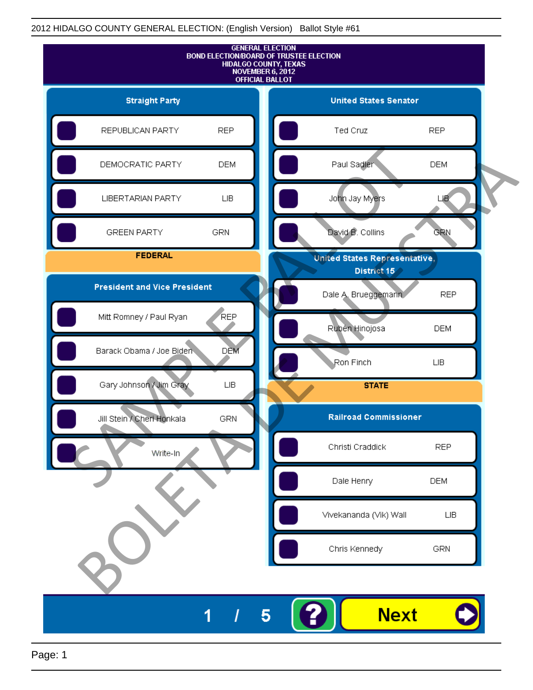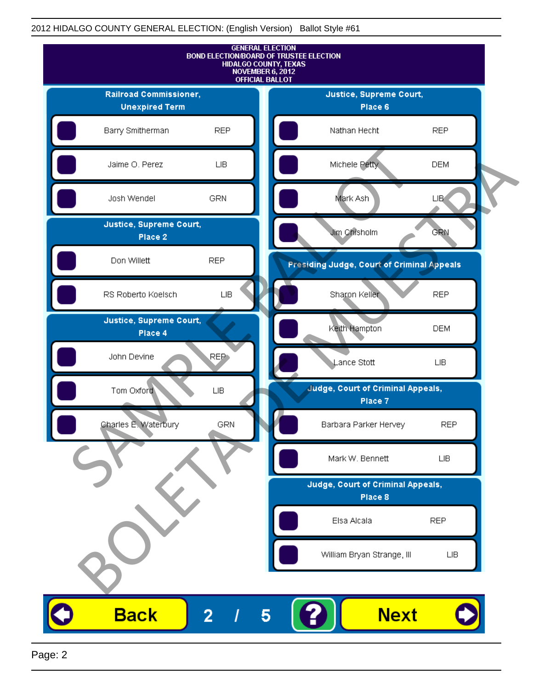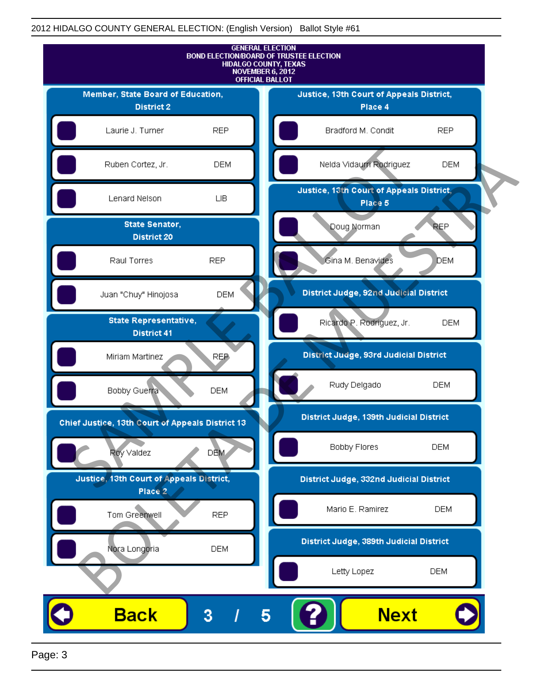

Page: 3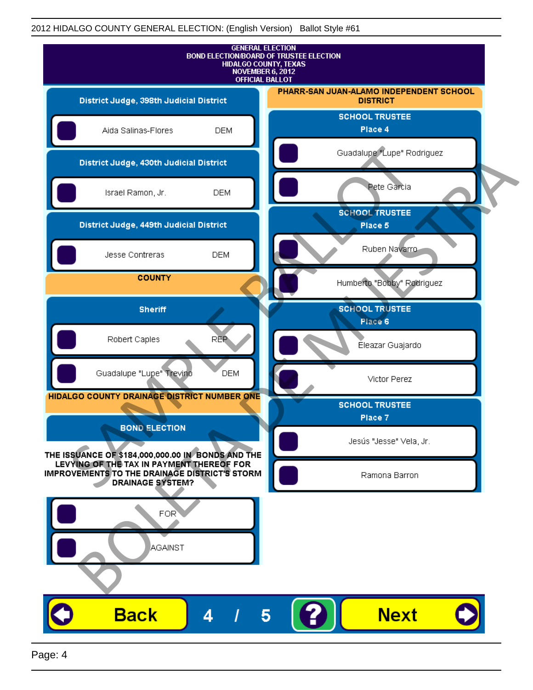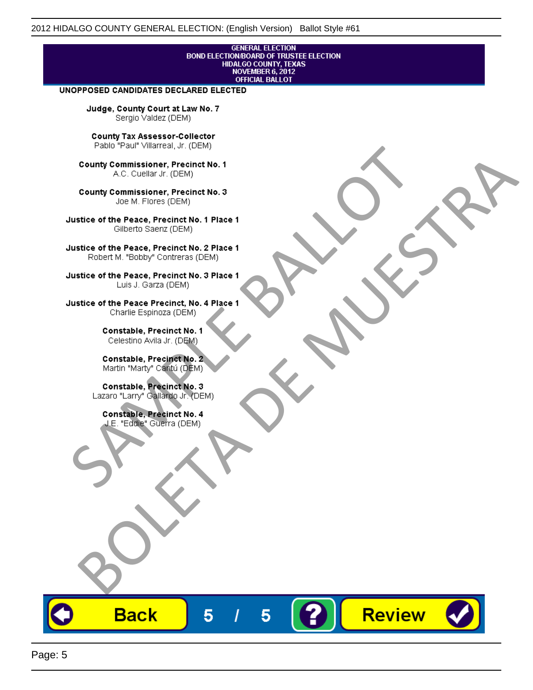# **GENERAL ELECTION** BOND ELECTION/BOARD OF TRUSTEE ELECTION<br>HIDALGO COUNTY, TEXAS<br>NOVEMBER 6, 2012<br>OFFICIAL BALLOT

Review

#### UNOPPOSED CANDIDATES DECLARED ELECTED

Judge, County Court at Law No. 7 Sergio Valdez (DEM)

County Tax Assessor-Collector

Fall Paul Visitera, Precinct No. 1<br>
County Commissioner, Precinct No. 1<br>
SAC. Cutellar JF: (DEM)<br>
County Commissioner, Precinct No. 2<br>
Ulattice of the Peace, Precinct No. 2 Place 1<br>
Counter M. "Bobby" Contrers (DEM)<br>
Ulatt County Commissioner, Precinct No. 1<br>
Accounts: A County Commissioner, Precinct No. 3<br>
Use of the Peace, Precinct No. 1<br>
Siste of the Peace, Precinct No. 1<br>
There is a control of the County Commission (DEM)<br>
There is a cont

**Back** 

5

5

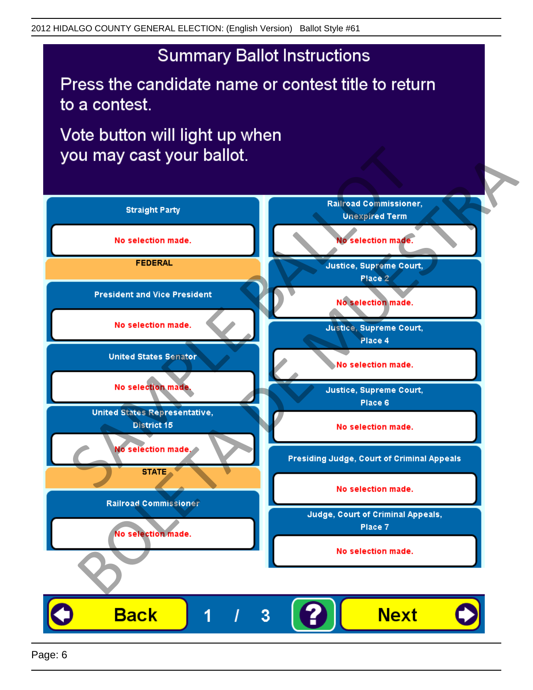## **Summary Ballot Instructions**

Press the candidate name or contest title to return to a contest.

Vote button will light up when

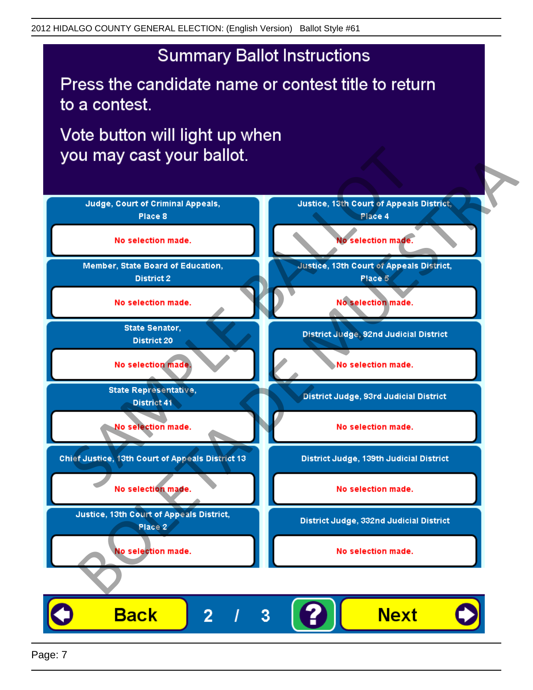## **Summary Ballot Instructions**

Press the candidate name or contest title to return to a contest.

Vote button will light up when



Page: 7